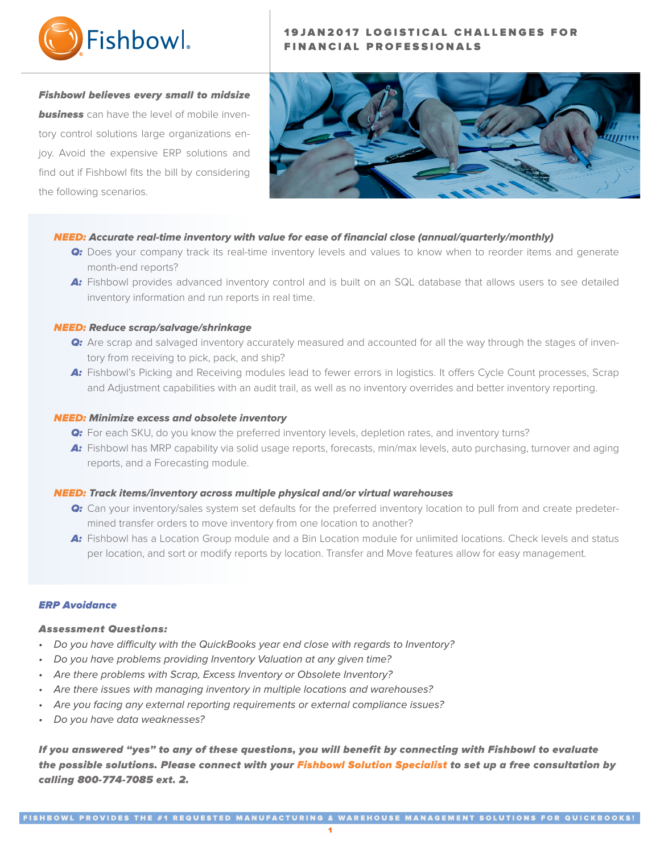

# **19 JAN 2017 LOGISTICAL CHALLENGES FOR** FINANCIAL PROFESSIONALS

Fishbowl believes every small to midsize

**business** can have the level of mobile inventory control solutions large organizations enjoy. Avoid the expensive ERP solutions and find out if Fishbowl fits the bill by considering the following scenarios.



## NEED: Accurate real-time inventory with value for ease of financial close (annual/quarterly/monthly)

- Q: Does your company track its real-time inventory levels and values to know when to reorder items and generate month-end reports?
- A: Fishbowl provides advanced inventory control and is built on an SQL database that allows users to see detailed inventory information and run reports in real time.

## NEED: Reduce scrap/salvage/shrinkage

- Q: Are scrap and salvaged inventory accurately measured and accounted for all the way through the stages of inventory from receiving to pick, pack, and ship?
- A: Fishbowl's Picking and Receiving modules lead to fewer errors in logistics. It offers Cycle Count processes, Scrap and Adjustment capabilities with an audit trail, as well as no inventory overrides and better inventory reporting.

#### NEED: Minimize excess and obsolete inventory

- Q: For each SKU, do you know the preferred inventory levels, depletion rates, and inventory turns?
- A: Fishbowl has MRP capability via solid usage reports, forecasts, min/max levels, auto purchasing, turnover and aging reports, and a Forecasting module.

#### NEED: Track items/inventory across multiple physical and/or virtual warehouses

- **Q:** Can your inventory/sales system set defaults for the preferred inventory location to pull from and create predetermined transfer orders to move inventory from one location to another?
- A: Fishbowl has a Location Group module and a Bin Location module for unlimited locations. Check levels and status per location, and sort or modify reports by location. Transfer and Move features allow for easy management.

### ERP Avoidance

## Assessment Questions:

- Do you have difficulty with the QuickBooks year end close with regards to Inventory?
- Do you have problems providing Inventory Valuation at any given time?
- Are there problems with Scrap, Excess Inventory or Obsolete Inventory?
- Are there issues with managing inventory in multiple locations and warehouses?
- Are you facing any external reporting requirements or external compliance issues?
- Do you have data weaknesses?

If you answered "yes" to any of these questions, you will benefit by connecting with Fishbowl to evaluate the possible solutions. Please connect with your Fishbowl Solution Specialist to set up a free consultation by calling 800-774-7085 ext. 2.